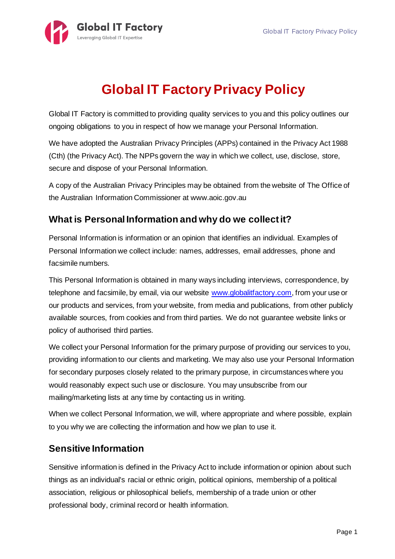

# **Global IT Factory Privacy Policy**

Global IT Factory is committed to providing quality services to you and this policy outlines our ongoing obligations to you in respect of how we manage your Personal Information.

We have adopted the Australian Privacy Principles (APPs) contained in the Privacy Act 1988 (Cth) (the Privacy Act). The NPPs govern the way in which we collect, use, disclose, store, secure and dispose of your Personal Information.

A copy of the Australian Privacy Principles may be obtained from the website of The Office of the Australian Information Commissioner at www.aoic.gov.au

## **What is Personal Information and why do we collect it?**

Personal Information is information or an opinion that identifies an individual. Examples of Personal Information we collect include: names, addresses, email addresses, phone and facsimile numbers.

This Personal Information is obtained in many ways including interviews, correspondence, by telephone and facsimile, by email, via our website www.globalitfactory.com, from your use or our products and services, from your website, from media and publications, from other publicly available sources, from cookies and from third parties. We do not guarantee website links or policy of authorised third parties.

We collect your Personal Information for the primary purpose of providing our services to you, providing information to our clients and marketing. We may also use your Personal Information for secondary purposes closely related to the primary purpose, in circumstances where you would reasonably expect such use or disclosure. You may unsubscribe from our mailing/marketing lists at any time by contacting us in writing.

When we collect Personal Information, we will, where appropriate and where possible, explain to you why we are collecting the information and how we plan to use it.

## **Sensitive Information**

Sensitive information is defined in the Privacy Act to include information or opinion about such things as an individual's racial or ethnic origin, political opinions, membership of a political association, religious or philosophical beliefs, membership of a trade union or other professional body, criminal record or health information.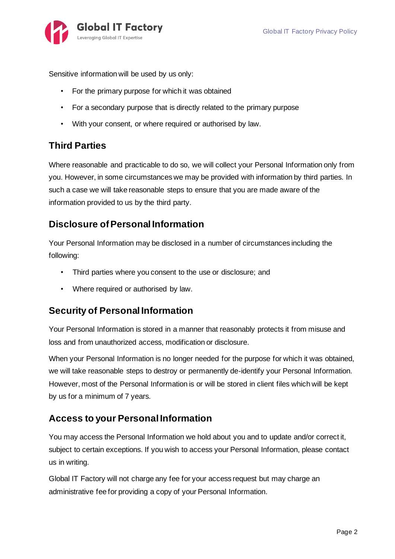

Sensitive information will be used by us only:

- For the primary purpose for which it was obtained
- For a secondary purpose that is directly related to the primary purpose
- With your consent, or where required or authorised by law.

#### **Third Parties**

Where reasonable and practicable to do so, we will collect your Personal Information only from you. However, in some circumstances we may be provided with information by third parties. In such a case we will take reasonable steps to ensure that you are made aware of the information provided to us by the third party.

#### **Disclosure of Personal Information**

Your Personal Information may be disclosed in a number of circumstances including the following:

- Third parties where you consent to the use or disclosure; and
- Where required or authorised by law.

#### **Security of Personal Information**

Your Personal Information is stored in a manner that reasonably protects it from misuse and loss and from unauthorized access, modification or disclosure.

When your Personal Information is no longer needed for the purpose for which it was obtained, we will take reasonable steps to destroy or permanently de-identify your Personal Information. However, most of the Personal Information is or will be stored in client files which will be kept by us for a minimum of 7 years.

#### **Access to your Personal Information**

You may access the Personal Information we hold about you and to update and/or correct it, subject to certain exceptions. If you wish to access your Personal Information, please contact us in writing.

Global IT Factory will not charge any fee for your access request but may charge an administrative fee for providing a copy of your Personal Information.